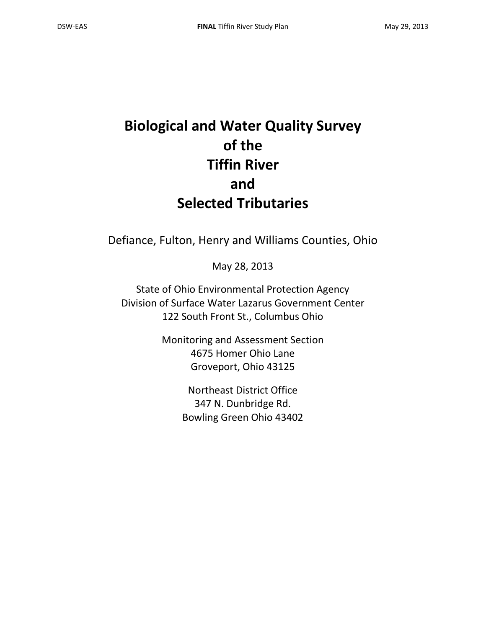# **Biological and Water Quality Survey of the Tiffin River and Selected Tributaries**

Defiance, Fulton, Henry and Williams Counties, Ohio

May 28, 2013

State of Ohio Environmental Protection Agency Division of Surface Water Lazarus Government Center 122 South Front St., Columbus Ohio

> Monitoring and Assessment Section 4675 Homer Ohio Lane Groveport, Ohio 43125

> > Northeast District Office 347 N. Dunbridge Rd. Bowling Green Ohio 43402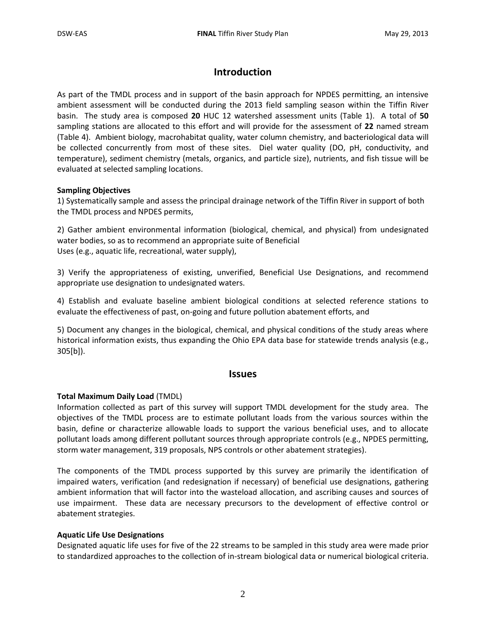# **Introduction**

As part of the TMDL process and in support of the basin approach for NPDES permitting, an intensive ambient assessment will be conducted during the 2013 field sampling season within the Tiffin River basin. The study area is composed **20** HUC 12 watershed assessment units (Table 1). A total of **50** sampling stations are allocated to this effort and will provide for the assessment of **22** named stream (Table 4). Ambient biology, macrohabitat quality, water column chemistry, and bacteriological data will be collected concurrently from most of these sites. Diel water quality (DO, pH, conductivity, and temperature), sediment chemistry (metals, organics, and particle size), nutrients, and fish tissue will be evaluated at selected sampling locations.

#### **Sampling Objectives**

1) Systematically sample and assess the principal drainage network of the Tiffin River in support of both the TMDL process and NPDES permits,

2) Gather ambient environmental information (biological, chemical, and physical) from undesignated water bodies, so as to recommend an appropriate suite of Beneficial Uses (e.g., aquatic life, recreational, water supply),

3) Verify the appropriateness of existing, unverified, Beneficial Use Designations, and recommend appropriate use designation to undesignated waters.

4) Establish and evaluate baseline ambient biological conditions at selected reference stations to evaluate the effectiveness of past, on-going and future pollution abatement efforts, and

5) Document any changes in the biological, chemical, and physical conditions of the study areas where historical information exists, thus expanding the Ohio EPA data base for statewide trends analysis (e.g., 305[b]).

#### **Issues**

#### **Total Maximum Daily Load** (TMDL)

Information collected as part of this survey will support TMDL development for the study area. The objectives of the TMDL process are to estimate pollutant loads from the various sources within the basin, define or characterize allowable loads to support the various beneficial uses, and to allocate pollutant loads among different pollutant sources through appropriate controls (e.g., NPDES permitting, storm water management, 319 proposals, NPS controls or other abatement strategies).

The components of the TMDL process supported by this survey are primarily the identification of impaired waters, verification (and redesignation if necessary) of beneficial use designations, gathering ambient information that will factor into the wasteload allocation, and ascribing causes and sources of use impairment. These data are necessary precursors to the development of effective control or abatement strategies.

#### **Aquatic Life Use Designations**

Designated aquatic life uses for five of the 22 streams to be sampled in this study area were made prior to standardized approaches to the collection of in-stream biological data or numerical biological criteria.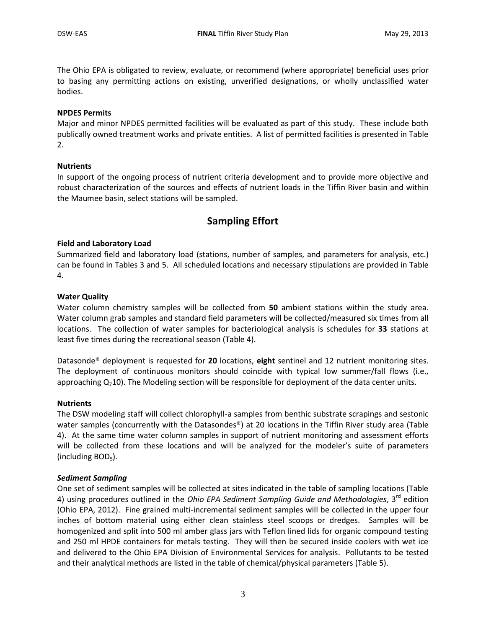The Ohio EPA is obligated to review, evaluate, or recommend (where appropriate) beneficial uses prior to basing any permitting actions on existing, unverified designations, or wholly unclassified water bodies.

#### **NPDES Permits**

Major and minor NPDES permitted facilities will be evaluated as part of this study. These include both publically owned treatment works and private entities. A list of permitted facilities is presented in Table 2.

#### **Nutrients**

In support of the ongoing process of nutrient criteria development and to provide more objective and robust characterization of the sources and effects of nutrient loads in the Tiffin River basin and within the Maumee basin, select stations will be sampled.

### **Sampling Effort**

#### **Field and Laboratory Load**

Summarized field and laboratory load (stations, number of samples, and parameters for analysis, etc.) can be found in Tables 3 and 5. All scheduled locations and necessary stipulations are provided in Table 4.

#### **Water Quality**

Water column chemistry samples will be collected from **50** ambient stations within the study area. Water column grab samples and standard field parameters will be collected/measured six times from all locations. The collection of water samples for bacteriological analysis is schedules for **33** stations at least five times during the recreational season (Table 4).

Datasonde® deployment is requested for **20** locations, **eight** sentinel and 12 nutrient monitoring sites. The deployment of continuous monitors should coincide with typical low summer/fall flows (i.e., approaching  $Q_710$ ). The Modeling section will be responsible for deployment of the data center units.

#### **Nutrients**

The DSW modeling staff will collect chlorophyll-a samples from benthic substrate scrapings and sestonic water samples (concurrently with the Datasondes<sup>®</sup>) at 20 locations in the Tiffin River study area (Table 4). At the same time water column samples in support of nutrient monitoring and assessment efforts will be collected from these locations and will be analyzed for the modeler's suite of parameters (including  $BOD<sub>5</sub>$ ).

#### *Sediment Sampling*

One set of sediment samples will be collected at sites indicated in the table of sampling locations (Table 4) using procedures outlined in the *Ohio EPA Sediment Sampling Guide and Methodologies*, 3rd edition (Ohio EPA, 2012). Fine grained multi-incremental sediment samples will be collected in the upper four inches of bottom material using either clean stainless steel scoops or dredges. Samples will be homogenized and split into 500 ml amber glass jars with Teflon lined lids for organic compound testing and 250 ml HPDE containers for metals testing. They will then be secured inside coolers with wet ice and delivered to the Ohio EPA Division of Environmental Services for analysis. Pollutants to be tested and their analytical methods are listed in the table of chemical/physical parameters (Table 5).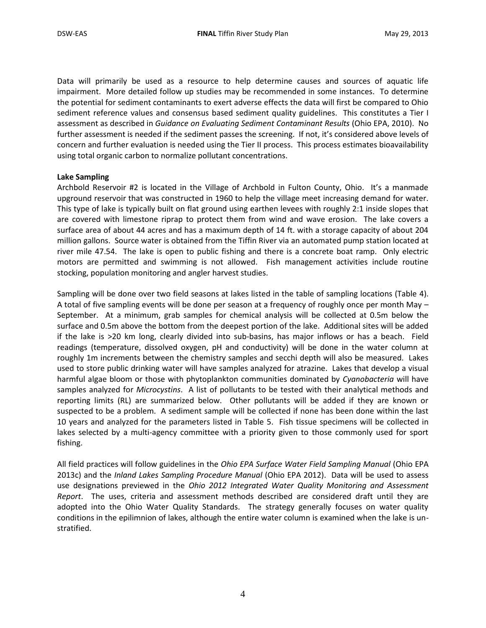Data will primarily be used as a resource to help determine causes and sources of aquatic life impairment. More detailed follow up studies may be recommended in some instances. To determine the potential for sediment contaminants to exert adverse effects the data will first be compared to Ohio sediment reference values and consensus based sediment quality guidelines. This constitutes a Tier I assessment as described in *Guidance on Evaluating Sediment Contaminant Results* (Ohio EPA, 2010). No further assessment is needed if the sediment passes the screening. If not, it's considered above levels of concern and further evaluation is needed using the Tier II process. This process estimates bioavailability using total organic carbon to normalize pollutant concentrations.

#### **Lake Sampling**

Archbold Reservoir #2 is located in the Village of Archbold in Fulton County, Ohio. It's a manmade upground reservoir that was constructed in 1960 to help the village meet increasing demand for water. This type of lake is typically built on flat ground using earthen levees with roughly 2:1 inside slopes that are covered with limestone riprap to protect them from wind and wave erosion. The lake covers a surface area of about 44 acres and has a maximum depth of 14 ft. with a storage capacity of about 204 million gallons. Source water is obtained from the Tiffin River via an automated pump station located at river mile 47.54. The lake is open to public fishing and there is a concrete boat ramp. Only electric motors are permitted and swimming is not allowed. Fish management activities include routine stocking, population monitoring and angler harvest studies.

Sampling will be done over two field seasons at lakes listed in the table of sampling locations (Table 4). A total of five sampling events will be done per season at a frequency of roughly once per month May – September. At a minimum, grab samples for chemical analysis will be collected at 0.5m below the surface and 0.5m above the bottom from the deepest portion of the lake. Additional sites will be added if the lake is >20 km long, clearly divided into sub-basins, has major inflows or has a beach. Field readings (temperature, dissolved oxygen, pH and conductivity) will be done in the water column at roughly 1m increments between the chemistry samples and secchi depth will also be measured. Lakes used to store public drinking water will have samples analyzed for atrazine. Lakes that develop a visual harmful algae bloom or those with phytoplankton communities dominated by *Cyanobacteria* will have samples analyzed for *Microcystins*. A list of pollutants to be tested with their analytical methods and reporting limits (RL) are summarized below. Other pollutants will be added if they are known or suspected to be a problem. A sediment sample will be collected if none has been done within the last 10 years and analyzed for the parameters listed in Table 5. Fish tissue specimens will be collected in lakes selected by a multi-agency committee with a priority given to those commonly used for sport fishing.

All field practices will follow guidelines in the *Ohio EPA Surface Water Field Sampling Manual* (Ohio EPA 2013c) and the *Inland Lakes Sampling Procedure Manual* (Ohio EPA 2012). Data will be used to assess use designations previewed in the *Ohio 2012 Integrated Water Quality Monitoring and Assessment Report*. The uses, criteria and assessment methods described are considered draft until they are adopted into the Ohio Water Quality Standards. The strategy generally focuses on water quality conditions in the epilimnion of lakes, although the entire water column is examined when the lake is unstratified.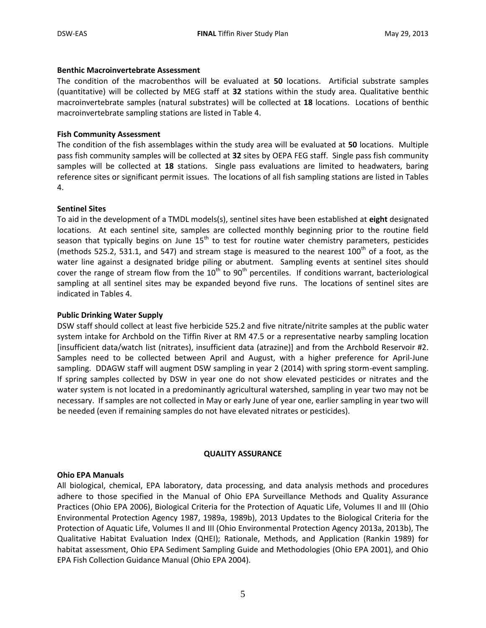#### **Benthic Macroinvertebrate Assessment**

The condition of the macrobenthos will be evaluated at **50** locations. Artificial substrate samples (quantitative) will be collected by MEG staff at **32** stations within the study area. Qualitative benthic macroinvertebrate samples (natural substrates) will be collected at **18** locations. Locations of benthic macroinvertebrate sampling stations are listed in Table 4.

#### **Fish Community Assessment**

The condition of the fish assemblages within the study area will be evaluated at **50** locations. Multiple pass fish community samples will be collected at **32** sites by OEPA FEG staff. Single pass fish community samples will be collected at **18** stations. Single pass evaluations are limited to headwaters, baring reference sites or significant permit issues. The locations of all fish sampling stations are listed in Tables 4.

#### **Sentinel Sites**

To aid in the development of a TMDL models(s), sentinel sites have been established at **eight** designated locations. At each sentinel site, samples are collected monthly beginning prior to the routine field season that typically begins on June  $15<sup>th</sup>$  to test for routine water chemistry parameters, pesticides (methods 525.2, 531.1, and 547) and stream stage is measured to the nearest  $100<sup>th</sup>$  of a foot, as the water line against a designated bridge piling or abutment. Sampling events at sentinel sites should cover the range of stream flow from the  $10<sup>th</sup>$  to  $90<sup>th</sup>$  percentiles. If conditions warrant, bacteriological sampling at all sentinel sites may be expanded beyond five runs. The locations of sentinel sites are indicated in Tables 4.

#### **Public Drinking Water Supply**

DSW staff should collect at least five herbicide 525.2 and five nitrate/nitrite samples at the public water system intake for Archbold on the Tiffin River at RM 47.5 or a representative nearby sampling location [insufficient data/watch list (nitrates), insufficient data (atrazine)] and from the Archbold Reservoir #2. Samples need to be collected between April and August, with a higher preference for April-June sampling. DDAGW staff will augment DSW sampling in year 2 (2014) with spring storm-event sampling. If spring samples collected by DSW in year one do not show elevated pesticides or nitrates and the water system is not located in a predominantly agricultural watershed, sampling in year two may not be necessary. If samples are not collected in May or early June of year one, earlier sampling in year two will be needed (even if remaining samples do not have elevated nitrates or pesticides).

#### **QUALITY ASSURANCE**

#### **Ohio EPA Manuals**

All biological, chemical, EPA laboratory, data processing, and data analysis methods and procedures adhere to those specified in the Manual of Ohio EPA Surveillance Methods and Quality Assurance Practices (Ohio EPA 2006), Biological Criteria for the Protection of Aquatic Life, Volumes II and III (Ohio Environmental Protection Agency 1987, 1989a, 1989b), 2013 Updates to the Biological Criteria for the Protection of Aquatic Life, Volumes II and III (Ohio Environmental Protection Agency 2013a, 2013b), The Qualitative Habitat Evaluation Index (QHEI); Rationale, Methods, and Application (Rankin 1989) for habitat assessment, Ohio EPA Sediment Sampling Guide and Methodologies (Ohio EPA 2001), and Ohio EPA Fish Collection Guidance Manual (Ohio EPA 2004).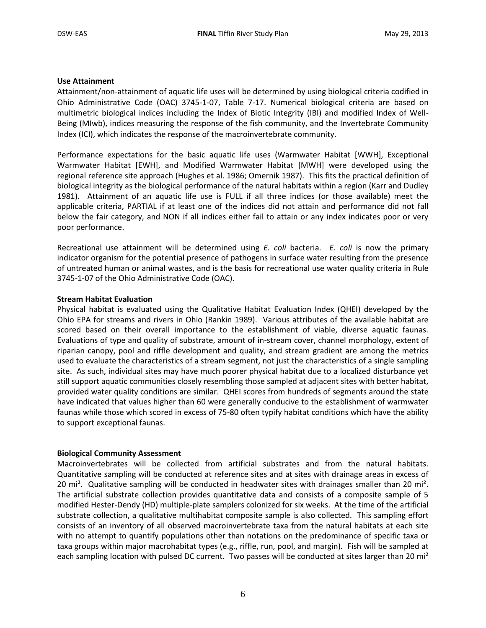#### **Use Attainment**

Attainment/non-attainment of aquatic life uses will be determined by using biological criteria codified in Ohio Administrative Code (OAC) 3745-1-07, Table 7-17. Numerical biological criteria are based on multimetric biological indices including the Index of Biotic Integrity (IBI) and modified Index of Well-Being (MIwb), indices measuring the response of the fish community, and the Invertebrate Community Index (ICI), which indicates the response of the macroinvertebrate community.

Performance expectations for the basic aquatic life uses (Warmwater Habitat [WWH], Exceptional Warmwater Habitat [EWH], and Modified Warmwater Habitat [MWH] were developed using the regional reference site approach (Hughes et al. 1986; Omernik 1987). This fits the practical definition of biological integrity as the biological performance of the natural habitats within a region (Karr and Dudley 1981). Attainment of an aquatic life use is FULL if all three indices (or those available) meet the applicable criteria, PARTIAL if at least one of the indices did not attain and performance did not fall below the fair category, and NON if all indices either fail to attain or any index indicates poor or very poor performance.

Recreational use attainment will be determined using *E. coli* bacteria. *E. coli* is now the primary indicator organism for the potential presence of pathogens in surface water resulting from the presence of untreated human or animal wastes, and is the basis for recreational use water quality criteria in Rule 3745-1-07 of the Ohio Administrative Code (OAC).

#### **Stream Habitat Evaluation**

Physical habitat is evaluated using the Qualitative Habitat Evaluation Index (QHEI) developed by the Ohio EPA for streams and rivers in Ohio (Rankin 1989). Various attributes of the available habitat are scored based on their overall importance to the establishment of viable, diverse aquatic faunas. Evaluations of type and quality of substrate, amount of in-stream cover, channel morphology, extent of riparian canopy, pool and riffle development and quality, and stream gradient are among the metrics used to evaluate the characteristics of a stream segment, not just the characteristics of a single sampling site. As such, individual sites may have much poorer physical habitat due to a localized disturbance yet still support aquatic communities closely resembling those sampled at adjacent sites with better habitat, provided water quality conditions are similar. QHEI scores from hundreds of segments around the state have indicated that values higher than 60 were generally conducive to the establishment of warmwater faunas while those which scored in excess of 75-80 often typify habitat conditions which have the ability to support exceptional faunas.

#### **Biological Community Assessment**

Macroinvertebrates will be collected from artificial substrates and from the natural habitats. Quantitative sampling will be conducted at reference sites and at sites with drainage areas in excess of 20 mi². Qualitative sampling will be conducted in headwater sites with drainages smaller than 20 mi². The artificial substrate collection provides quantitative data and consists of a composite sample of 5 modified Hester-Dendy (HD) multiple-plate samplers colonized for six weeks. At the time of the artificial substrate collection, a qualitative multihabitat composite sample is also collected. This sampling effort consists of an inventory of all observed macroinvertebrate taxa from the natural habitats at each site with no attempt to quantify populations other than notations on the predominance of specific taxa or taxa groups within major macrohabitat types (e.g., riffle, run, pool, and margin). Fish will be sampled at each sampling location with pulsed DC current. Two passes will be conducted at sites larger than 20 mi<sup>2</sup>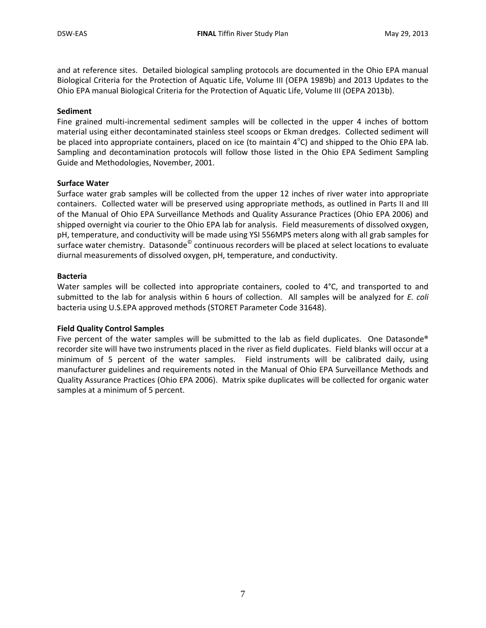and at reference sites. Detailed biological sampling protocols are documented in the Ohio EPA manual Biological Criteria for the Protection of Aquatic Life, Volume III (OEPA 1989b) and 2013 Updates to the Ohio EPA manual Biological Criteria for the Protection of Aquatic Life, Volume III (OEPA 2013b).

#### **Sediment**

Fine grained multi-incremental sediment samples will be collected in the upper 4 inches of bottom material using either decontaminated stainless steel scoops or Ekman dredges. Collected sediment will be placed into appropriate containers, placed on ice (to maintain  $4^{\circ}$ C) and shipped to the Ohio EPA lab. Sampling and decontamination protocols will follow those listed in the Ohio EPA Sediment Sampling Guide and Methodologies, November, 2001.

#### **Surface Water**

Surface water grab samples will be collected from the upper 12 inches of river water into appropriate containers. Collected water will be preserved using appropriate methods, as outlined in Parts II and III of the Manual of Ohio EPA Surveillance Methods and Quality Assurance Practices (Ohio EPA 2006) and shipped overnight via courier to the Ohio EPA lab for analysis. Field measurements of dissolved oxygen, pH, temperature, and conductivity will be made using YSI 556MPS meters along with all grab samples for surface water chemistry. Datasonde<sup>©</sup> continuous recorders will be placed at select locations to evaluate diurnal measurements of dissolved oxygen, pH, temperature, and conductivity.

#### **Bacteria**

Water samples will be collected into appropriate containers, cooled to 4°C, and transported to and submitted to the lab for analysis within 6 hours of collection. All samples will be analyzed for *E. coli* bacteria using U.S.EPA approved methods (STORET Parameter Code 31648).

#### **Field Quality Control Samples**

Five percent of the water samples will be submitted to the lab as field duplicates. One Datasonde® recorder site will have two instruments placed in the river as field duplicates. Field blanks will occur at a minimum of 5 percent of the water samples. Field instruments will be calibrated daily, using manufacturer guidelines and requirements noted in the Manual of Ohio EPA Surveillance Methods and Quality Assurance Practices (Ohio EPA 2006). Matrix spike duplicates will be collected for organic water samples at a minimum of 5 percent.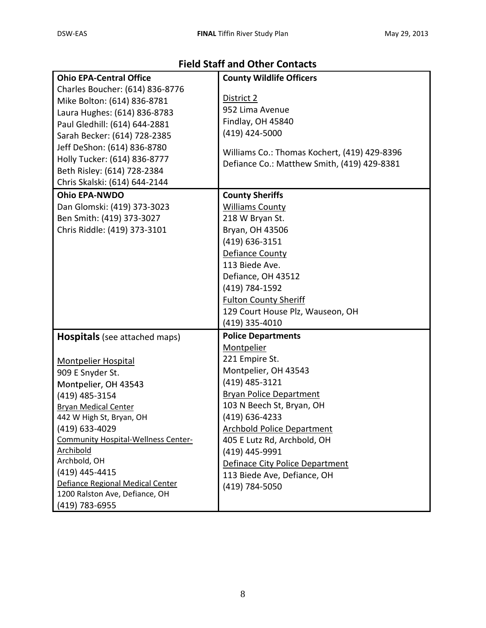# **Field Staff and Other Contacts**

| <b>Ohio EPA-Central Office</b>             | <b>County Wildlife Officers</b>              |
|--------------------------------------------|----------------------------------------------|
| Charles Boucher: (614) 836-8776            |                                              |
| Mike Bolton: (614) 836-8781                | District 2                                   |
| Laura Hughes: (614) 836-8783               | 952 Lima Avenue                              |
| Paul Gledhill: (614) 644-2881              | Findlay, OH 45840                            |
| Sarah Becker: (614) 728-2385               | (419) 424-5000                               |
| Jeff DeShon: (614) 836-8780                |                                              |
| Holly Tucker: (614) 836-8777               | Williams Co.: Thomas Kochert, (419) 429-8396 |
| Beth Risley: (614) 728-2384                | Defiance Co.: Matthew Smith, (419) 429-8381  |
| Chris Skalski: (614) 644-2144              |                                              |
| <b>Ohio EPA-NWDO</b>                       | <b>County Sheriffs</b>                       |
| Dan Glomski: (419) 373-3023                | <b>Williams County</b>                       |
| Ben Smith: (419) 373-3027                  | 218 W Bryan St.                              |
| Chris Riddle: (419) 373-3101               | Bryan, OH 43506                              |
|                                            | (419) 636-3151                               |
|                                            | Defiance County                              |
|                                            | 113 Biede Ave.                               |
|                                            | Defiance, OH 43512                           |
|                                            | (419) 784-1592                               |
|                                            | <b>Fulton County Sheriff</b>                 |
|                                            | 129 Court House Plz, Wauseon, OH             |
|                                            | (419) 335-4010                               |
| <b>Hospitals</b> (see attached maps)       | <b>Police Departments</b>                    |
|                                            | Montpelier                                   |
| <b>Montpelier Hospital</b>                 | 221 Empire St.                               |
| 909 E Snyder St.                           | Montpelier, OH 43543                         |
| Montpelier, OH 43543                       | (419) 485-3121                               |
| (419) 485-3154                             | <b>Bryan Police Department</b>               |
| <b>Bryan Medical Center</b>                | 103 N Beech St, Bryan, OH                    |
| 442 W High St, Bryan, OH                   | (419) 636-4233                               |
| (419) 633-4029                             | <b>Archbold Police Department</b>            |
| <b>Community Hospital-Wellness Center-</b> | 405 E Lutz Rd, Archbold, OH                  |
| <b>Archibold</b>                           | (419) 445-9991                               |
| Archbold, OH                               | Definace City Police Department              |
| (419) 445-4415                             | 113 Biede Ave, Defiance, OH                  |
| Defiance Regional Medical Center           | (419) 784-5050                               |
| 1200 Ralston Ave, Defiance, OH             |                                              |
| (419) 783-6955                             |                                              |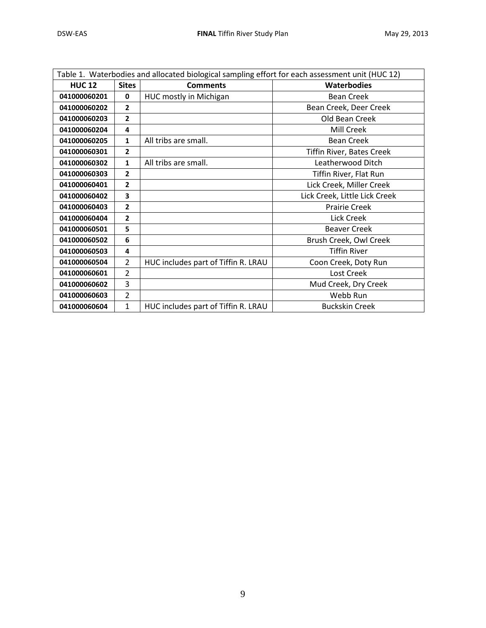| Table 1. Waterbodies and allocated biological sampling effort for each assessment unit (HUC 12) |                |                                     |                                  |  |  |  |  |
|-------------------------------------------------------------------------------------------------|----------------|-------------------------------------|----------------------------------|--|--|--|--|
| <b>HUC 12</b>                                                                                   | <b>Sites</b>   | <b>Comments</b>                     | <b>Waterbodies</b>               |  |  |  |  |
| 041000060201                                                                                    | $\mathbf{0}$   | <b>HUC mostly in Michigan</b>       | <b>Bean Creek</b>                |  |  |  |  |
| 041000060202                                                                                    | $\overline{2}$ |                                     | Bean Creek, Deer Creek           |  |  |  |  |
| 041000060203                                                                                    | $\overline{2}$ |                                     | Old Bean Creek                   |  |  |  |  |
| 041000060204                                                                                    | 4              |                                     | Mill Creek                       |  |  |  |  |
| 041000060205                                                                                    | 1              | All tribs are small.                | <b>Bean Creek</b>                |  |  |  |  |
| 041000060301                                                                                    | $\overline{2}$ |                                     | <b>Tiffin River, Bates Creek</b> |  |  |  |  |
| 041000060302                                                                                    | 1              | All tribs are small.                | Leatherwood Ditch                |  |  |  |  |
| 041000060303                                                                                    | $\overline{2}$ |                                     | Tiffin River, Flat Run           |  |  |  |  |
| 041000060401                                                                                    | $\overline{2}$ |                                     | Lick Creek, Miller Creek         |  |  |  |  |
| 041000060402                                                                                    | 3              |                                     | Lick Creek, Little Lick Creek    |  |  |  |  |
| 041000060403                                                                                    | 2              |                                     | <b>Prairie Creek</b>             |  |  |  |  |
| 041000060404                                                                                    | $\overline{2}$ |                                     | <b>Lick Creek</b>                |  |  |  |  |
| 041000060501                                                                                    | 5              |                                     | <b>Beaver Creek</b>              |  |  |  |  |
| 041000060502                                                                                    | 6              |                                     | Brush Creek, Owl Creek           |  |  |  |  |
| 041000060503                                                                                    | 4              |                                     | <b>Tiffin River</b>              |  |  |  |  |
| 041000060504                                                                                    | $\overline{2}$ | HUC includes part of Tiffin R. LRAU | Coon Creek, Doty Run             |  |  |  |  |
| 041000060601                                                                                    | 2              |                                     | Lost Creek                       |  |  |  |  |
| 041000060602                                                                                    | 3              |                                     | Mud Creek, Dry Creek             |  |  |  |  |
| 041000060603                                                                                    | $\overline{2}$ |                                     | Webb Run                         |  |  |  |  |
| 041000060604                                                                                    | $\mathbf{1}$   | HUC includes part of Tiffin R. LRAU | <b>Buckskin Creek</b>            |  |  |  |  |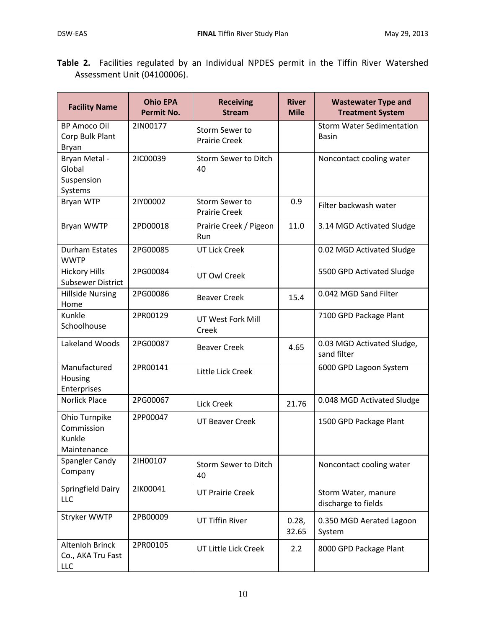Н

|  |                             |  |  |  |  | Table 2. Facilities regulated by an Individual NPDES permit in the Tiffin River Watershed |
|--|-----------------------------|--|--|--|--|-------------------------------------------------------------------------------------------|
|  | Assessment Unit (04100006). |  |  |  |  |                                                                                           |

| <b>Facility Name</b>                                 | <b>Ohio EPA</b><br><b>Permit No.</b> | <b>Receiving</b><br><b>Stream</b>      | <b>River</b><br><b>Mile</b> | <b>Wastewater Type and</b><br><b>Treatment System</b> |
|------------------------------------------------------|--------------------------------------|----------------------------------------|-----------------------------|-------------------------------------------------------|
| <b>BP Amoco Oil</b><br>Corp Bulk Plant<br>Bryan      | 2IN00177                             | Storm Sewer to<br><b>Prairie Creek</b> |                             | <b>Storm Water Sedimentation</b><br><b>Basin</b>      |
| Bryan Metal -<br>Global<br>Suspension<br>Systems     | 2IC00039                             | <b>Storm Sewer to Ditch</b><br>40      |                             | Noncontact cooling water                              |
| Bryan WTP                                            | 2IY00002                             | Storm Sewer to<br><b>Prairie Creek</b> | 0.9                         | Filter backwash water                                 |
| Bryan WWTP                                           | 2PD00018                             | Prairie Creek / Pigeon<br>Run          | 11.0                        | 3.14 MGD Activated Sludge                             |
| <b>Durham Estates</b><br><b>WWTP</b>                 | 2PG00085                             | <b>UT Lick Creek</b>                   |                             | 0.02 MGD Activated Sludge                             |
| <b>Hickory Hills</b><br><b>Subsewer District</b>     | 2PG00084                             | <b>UT Owl Creek</b>                    |                             | 5500 GPD Activated Sludge                             |
| <b>Hillside Nursing</b><br>Home                      | 2PG00086                             | <b>Beaver Creek</b>                    | 15.4                        | 0.042 MGD Sand Filter                                 |
| Kunkle<br>Schoolhouse                                | 2PR00129                             | UT West Fork Mill<br>Creek             |                             | 7100 GPD Package Plant                                |
| Lakeland Woods                                       | 2PG00087                             | <b>Beaver Creek</b>                    | 4.65                        | 0.03 MGD Activated Sludge,<br>sand filter             |
| Manufactured<br>Housing<br>Enterprises               | 2PR00141                             | Little Lick Creek                      |                             | 6000 GPD Lagoon System                                |
| <b>Norlick Place</b>                                 | 2PG00067                             | Lick Creek                             | 21.76                       | 0.048 MGD Activated Sludge                            |
| Ohio Turnpike<br>Commission<br>Kunkle<br>Maintenance | 2PP00047                             | <b>UT Beaver Creek</b>                 |                             | 1500 GPD Package Plant                                |
| Spangler Candy<br>Company                            | 21H00107                             | Storm Sewer to Ditch<br>40             |                             | Noncontact cooling water                              |
| Springfield Dairy<br>LLC                             | 21K00041                             | <b>UT Prairie Creek</b>                |                             | Storm Water, manure<br>discharge to fields            |
| Stryker WWTP                                         | 2PB00009                             | <b>UT Tiffin River</b>                 | 0.28,<br>32.65              | 0.350 MGD Aerated Lagoon<br>System                    |
| <b>Altenloh Brinck</b><br>Co., AKA Tru Fast<br>LLC   | 2PR00105                             | UT Little Lick Creek                   | 2.2                         | 8000 GPD Package Plant                                |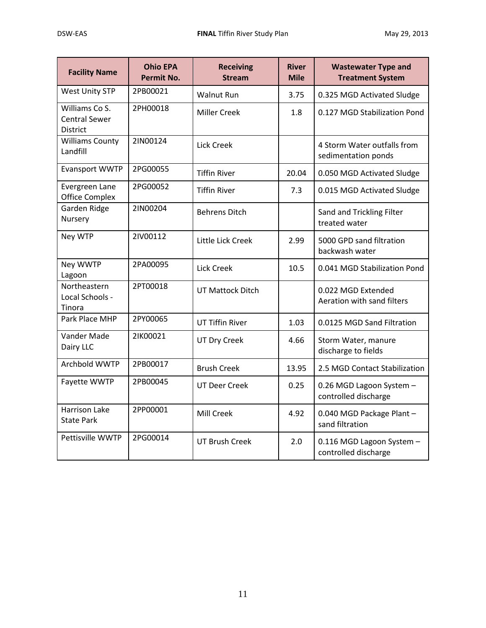| <b>Facility Name</b>                                      | <b>Ohio EPA</b><br><b>Permit No.</b> | <b>Receiving</b><br><b>Stream</b> | <b>River</b><br><b>Mile</b> | <b>Wastewater Type and</b><br><b>Treatment System</b> |
|-----------------------------------------------------------|--------------------------------------|-----------------------------------|-----------------------------|-------------------------------------------------------|
| <b>West Unity STP</b>                                     | 2PB00021                             | <b>Walnut Run</b>                 | 3.75                        | 0.325 MGD Activated Sludge                            |
| Williams Co S.<br><b>Central Sewer</b><br><b>District</b> | 2PH00018                             | <b>Miller Creek</b>               | 1.8                         | 0.127 MGD Stabilization Pond                          |
| <b>Williams County</b><br>Landfill                        | 2IN00124                             | <b>Lick Creek</b>                 |                             | 4 Storm Water outfalls from<br>sedimentation ponds    |
| <b>Evansport WWTP</b>                                     | 2PG00055                             | <b>Tiffin River</b>               | 20.04                       | 0.050 MGD Activated Sludge                            |
| Evergreen Lane<br><b>Office Complex</b>                   | 2PG00052                             | <b>Tiffin River</b>               | 7.3                         | 0.015 MGD Activated Sludge                            |
| Garden Ridge<br>Nursery                                   | 2IN00204                             | <b>Behrens Ditch</b>              |                             | Sand and Trickling Filter<br>treated water            |
| Ney WTP                                                   | 2IV00112                             | Little Lick Creek                 | 2.99                        | 5000 GPD sand filtration<br>backwash water            |
| Ney WWTP<br>Lagoon                                        | 2PA00095                             | <b>Lick Creek</b>                 | 10.5                        | 0.041 MGD Stabilization Pond                          |
| Northeastern<br>Local Schools -<br>Tinora                 | 2PT00018                             | <b>UT Mattock Ditch</b>           |                             | 0.022 MGD Extended<br>Aeration with sand filters      |
| Park Place MHP                                            | 2PY00065                             | <b>UT Tiffin River</b>            | 1.03                        | 0.0125 MGD Sand Filtration                            |
| Vander Made<br>Dairy LLC                                  | 21K00021                             | <b>UT Dry Creek</b>               | 4.66                        | Storm Water, manure<br>discharge to fields            |
| Archbold WWTP                                             | 2PB00017                             | <b>Brush Creek</b>                | 13.95                       | 2.5 MGD Contact Stabilization                         |
| Fayette WWTP                                              | 2PB00045                             | UT Deer Creek                     | 0.25                        | 0.26 MGD Lagoon System -<br>controlled discharge      |
| <b>Harrison Lake</b><br><b>State Park</b>                 | 2PP00001                             | Mill Creek                        | 4.92                        | 0.040 MGD Package Plant -<br>sand filtration          |
| Pettisville WWTP                                          | 2PG00014                             | <b>UT Brush Creek</b>             | 2.0                         | 0.116 MGD Lagoon System -<br>controlled discharge     |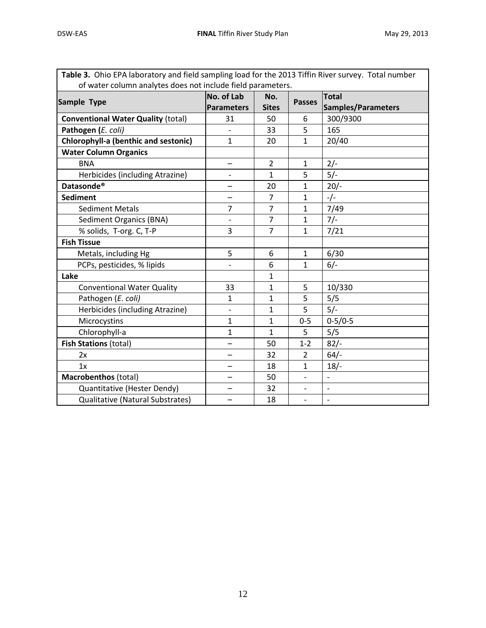| Table 3. Ohio EPA laboratory and field sampling load for the 2013 Tiffin River survey. Total number |                          |                |                          |                          |  |  |  |  |  |  |
|-----------------------------------------------------------------------------------------------------|--------------------------|----------------|--------------------------|--------------------------|--|--|--|--|--|--|
| of water column analytes does not include field parameters.                                         |                          |                |                          |                          |  |  |  |  |  |  |
| Sample Type                                                                                         | No. of Lab               | No.            | <b>Passes</b>            | <b>Total</b>             |  |  |  |  |  |  |
|                                                                                                     | <b>Parameters</b>        | <b>Sites</b>   |                          | Samples/Parameters       |  |  |  |  |  |  |
| <b>Conventional Water Quality (total)</b>                                                           | 31                       | 50             | 6                        | 300/9300                 |  |  |  |  |  |  |
| Pathogen (E. coli)                                                                                  |                          | 33             | 5                        | 165                      |  |  |  |  |  |  |
| <b>Chlorophyll-a (benthic and sestonic)</b>                                                         | $\mathbf{1}$             | 20             | $\mathbf{1}$             | 20/40                    |  |  |  |  |  |  |
| <b>Water Column Organics</b>                                                                        |                          |                |                          |                          |  |  |  |  |  |  |
| <b>BNA</b>                                                                                          |                          | $\overline{2}$ | $\mathbf{1}$             | $2/-$                    |  |  |  |  |  |  |
| Herbicides (including Atrazine)                                                                     | $\overline{\phantom{a}}$ | $\mathbf{1}$   | 5                        | $5/-$                    |  |  |  |  |  |  |
| Datasonde <sup>®</sup>                                                                              | $\overline{\phantom{0}}$ | 20             | $\mathbf{1}$             | $20/-$                   |  |  |  |  |  |  |
| <b>Sediment</b>                                                                                     | —                        | 7              | $\mathbf{1}$             | $-/-$                    |  |  |  |  |  |  |
| <b>Sediment Metals</b>                                                                              | $\overline{7}$           | $\overline{7}$ | $\mathbf{1}$             | 7/49                     |  |  |  |  |  |  |
| <b>Sediment Organics (BNA)</b>                                                                      |                          | $\overline{7}$ | $\mathbf{1}$             | $7/-$                    |  |  |  |  |  |  |
| % solids, T-org. C, T-P                                                                             | 3                        | $\overline{7}$ | $\mathbf{1}$             | 7/21                     |  |  |  |  |  |  |
| <b>Fish Tissue</b>                                                                                  |                          |                |                          |                          |  |  |  |  |  |  |
| Metals, including Hg                                                                                | 5                        | 6              | $\mathbf{1}$             | 6/30                     |  |  |  |  |  |  |
| PCPs, pesticides, % lipids                                                                          |                          | 6              | 1                        | $6/-$                    |  |  |  |  |  |  |
| Lake                                                                                                |                          | $\mathbf{1}$   |                          |                          |  |  |  |  |  |  |
| <b>Conventional Water Quality</b>                                                                   | 33                       | $\mathbf{1}$   | 5                        | 10/330                   |  |  |  |  |  |  |
| Pathogen (E. coli)                                                                                  | $\mathbf{1}$             | $\mathbf{1}$   | 5                        | 5/5                      |  |  |  |  |  |  |
| Herbicides (including Atrazine)                                                                     |                          | $\mathbf{1}$   | 5                        | $5/-$                    |  |  |  |  |  |  |
| Microcystins                                                                                        | $\mathbf{1}$             | $\mathbf{1}$   | $0 - 5$                  | $0 - 5/0 - 5$            |  |  |  |  |  |  |
| Chlorophyll-a                                                                                       | $\mathbf{1}$             | $\mathbf{1}$   | 5                        | 5/5                      |  |  |  |  |  |  |
| <b>Fish Stations (total)</b>                                                                        |                          | 50             | $1 - 2$                  | $82/-$                   |  |  |  |  |  |  |
| 2x                                                                                                  |                          | 32             | 2                        | $64/-$                   |  |  |  |  |  |  |
| 1x                                                                                                  |                          | 18             | $\mathbf{1}$             | 18/                      |  |  |  |  |  |  |
| Macrobenthos (total)                                                                                |                          | 50             | $\overline{\phantom{a}}$ | $\overline{\phantom{a}}$ |  |  |  |  |  |  |
| Quantitative (Hester Dendy)                                                                         |                          | 32             |                          | $\overline{\phantom{0}}$ |  |  |  |  |  |  |
| Qualitative (Natural Substrates)                                                                    |                          | 18             | $\overline{\phantom{m}}$ | $\overline{\phantom{a}}$ |  |  |  |  |  |  |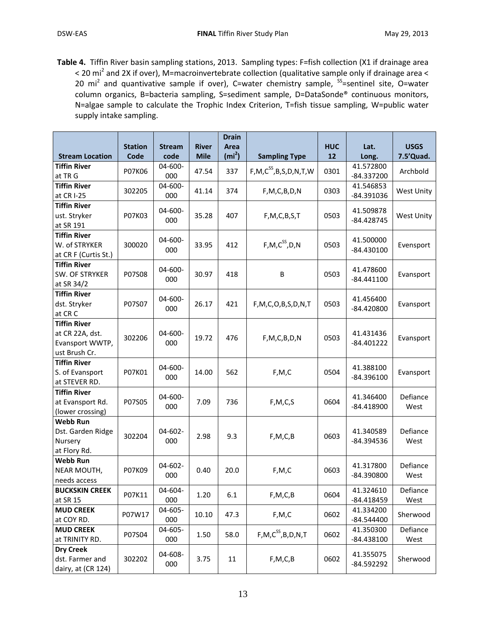**Table 4.** Tiffin River basin sampling stations, 2013. Sampling types: F=fish collection (X1 if drainage area < 20 mi<sup>2</sup> and 2X if over), M=macroinvertebrate collection (qualitative sample only if drainage area < 20 mi<sup>2</sup> and quantivative sample if over), C=water chemistry sample, <sup>SS</sup>=sentinel site, O=water column organics, B=bacteria sampling, S=sediment sample, D=DataSonde® continuous monitors, N=algae sample to calculate the Trophic Index Criterion, T=fish tissue sampling, W=public water supply intake sampling.

|                                                                            | <b>Station</b> | <b>Stream</b>       | <b>River</b> | <b>Drain</b><br>Area |                                  | <b>HUC</b> | Lat.                      | <b>USGS</b>       |
|----------------------------------------------------------------------------|----------------|---------------------|--------------|----------------------|----------------------------------|------------|---------------------------|-------------------|
| <b>Stream Location</b>                                                     | Code           | code                | <b>Mile</b>  | (m <sup>2</sup> )    | <b>Sampling Type</b>             | 12         | Long.                     | 7.5'Quad.         |
| <b>Tiffin River</b><br>at TR G                                             | P07K06         | 04-600-<br>000      | 47.54        | 337                  | $F, M, C^{SS}, B, S, D, N, T, W$ | 0301       | 41.572800<br>-84.337200   | Archbold          |
| <b>Tiffin River</b><br>at CR I-25                                          | 302205         | 04-600-<br>000      | 41.14        | 374                  | F, M, C, B, D, N                 | 0303       | 41.546853<br>-84.391036   | <b>West Unity</b> |
| <b>Tiffin River</b><br>ust. Stryker<br>at SR 191                           | P07K03         | 04-600-<br>000      | 35.28        | 407                  | F, M, C, B, S, T                 | 0503       | 41.509878<br>$-84.428745$ | West Unity        |
| <b>Tiffin River</b><br>W. of STRYKER<br>at CR F (Curtis St.)               | 300020         | 04-600-<br>000      | 33.95        | 412                  | $F, M, C^{SS}, D, N$             | 0503       | 41.500000<br>$-84.430100$ | Evensport         |
| <b>Tiffin River</b><br>SW. OF STRYKER<br>at SR 34/2                        | P07S08         | $04 - 600 -$<br>000 | 30.97        | 418                  | B                                | 0503       | 41.478600<br>$-84.441100$ | Evansport         |
| <b>Tiffin River</b><br>dst. Stryker<br>at CR C                             | P07S07         | 04-600-<br>000      | 26.17        | 421                  | F, M, C, O, B, S, D, N, T        | 0503       | 41.456400<br>$-84.420800$ | Evansport         |
| <b>Tiffin River</b><br>at CR 22A, dst.<br>Evansport WWTP,<br>ust Brush Cr. | 302206         | 04-600-<br>000      | 19.72        | 476                  | F, M, C, B, D, N                 | 0503       | 41.431436<br>$-84.401222$ | Evansport         |
| <b>Tiffin River</b><br>S. of Evansport<br>at STEVER RD.                    | P07K01         | 04-600-<br>000      | 14.00        | 562                  | F, M, C                          | 0504       | 41.388100<br>$-84.396100$ | Evansport         |
| <b>Tiffin River</b><br>at Evansport Rd.<br>(lower crossing)                | P07S05         | 04-600-<br>000      | 7.09         | 736                  | F, M, C, S                       | 0604       | 41.346400<br>$-84.418900$ | Defiance<br>West  |
| <b>Webb Run</b><br>Dst. Garden Ridge<br>Nursery<br>at Flory Rd.            | 302204         | 04-602-<br>000      | 2.98         | 9.3                  | F, M, C, B                       | 0603       | 41.340589<br>-84.394536   | Defiance<br>West  |
| <b>Webb Run</b><br>NEAR MOUTH,<br>needs access                             | P07K09         | 04-602-<br>000      | 0.40         | 20.0                 | F, M, C                          | 0603       | 41.317800<br>-84.390800   | Defiance<br>West  |
| <b>BUCKSKIN CREEK</b><br>at SR 15                                          | P07K11         | 04-604-<br>000      | 1.20         | 6.1                  | F, M, C, B                       | 0604       | 41.324610<br>-84.418459   | Defiance<br>West  |
| <b>MUD CREEK</b><br>at COY RD.                                             | P07W17         | 04-605-<br>000      | 10.10        | 47.3                 | F, M, C                          | 0602       | 41.334200<br>$-84.544400$ | Sherwood          |
| <b>MUD CREEK</b><br>at TRINITY RD.                                         | P07S04         | 04-605-<br>000      | 1.50         | 58.0                 | $F, M, C^{SS}, B, D, N, T$       | 0602       | 41.350300<br>$-84.438100$ | Defiance<br>West  |
| <b>Dry Creek</b><br>dst. Farmer and<br>dairy, at (CR 124)                  | 302202         | 04-608-<br>000      | 3.75         | 11                   | F, M, C, B                       | 0602       | 41.355075<br>-84.592292   | Sherwood          |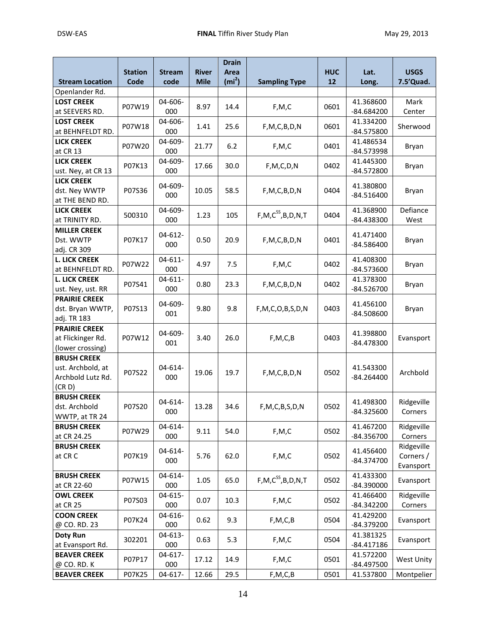|                                     |                        |                       |                             | <b>Drain</b>              |                            |                  |               |                          |
|-------------------------------------|------------------------|-----------------------|-----------------------------|---------------------------|----------------------------|------------------|---------------|--------------------------|
| <b>Stream Location</b>              | <b>Station</b><br>Code | <b>Stream</b><br>code | <b>River</b><br><b>Mile</b> | Area<br>(m <sup>2</sup> ) | <b>Sampling Type</b>       | <b>HUC</b><br>12 | Lat.<br>Long. | <b>USGS</b><br>7.5'Quad. |
| Openlander Rd.                      |                        |                       |                             |                           |                            |                  |               |                          |
| <b>LOST CREEK</b>                   |                        | 04-606-               |                             |                           |                            |                  | 41.368600     | Mark                     |
| at SEEVERS RD.                      | P07W19                 | 000                   | 8.97                        | 14.4                      | F, M, C                    | 0601             | $-84.684200$  | Center                   |
| <b>LOST CREEK</b>                   |                        | 04-606-               |                             |                           |                            |                  | 41.334200     |                          |
| at BEHNFELDT RD.                    | P07W18                 | 000                   | 1.41                        | 25.6                      | F, M, C, B, D, N           | 0601             | $-84.575800$  | Sherwood                 |
| <b>LICK CREEK</b>                   |                        | 04-609-               |                             |                           |                            |                  | 41.486534     |                          |
| at CR 13                            | P07W20                 | 000                   | 21.77                       | 6.2                       | F, M, C                    | 0401             | -84.573998    | Bryan                    |
| <b>LICK CREEK</b>                   |                        | 04-609-               |                             |                           |                            |                  | 41.445300     |                          |
| ust. Ney, at CR 13                  | P07K13                 | 000                   | 17.66                       | 30.0                      | F, M, C, D, N              | 0402             | $-84.572800$  | Bryan                    |
| <b>LICK CREEK</b>                   |                        |                       |                             |                           |                            |                  |               |                          |
| dst. Ney WWTP                       | P07S36                 | 04-609-               | 10.05                       | 58.5                      |                            | 0404             | 41.380800     | Bryan                    |
| at THE BEND RD.                     |                        | 000                   |                             |                           | F, M, C, B, D, N           |                  | $-84.516400$  |                          |
| <b>LICK CREEK</b>                   |                        | 04-609-               |                             |                           |                            |                  | 41.368900     | Defiance                 |
| at TRINITY RD.                      | 500310                 | 000                   | 1.23                        | 105                       | $F, M, C^{SS}, B, D, N, T$ | 0404             | -84.438300    | West                     |
| <b>MILLER CREEK</b>                 |                        |                       |                             |                           |                            |                  |               |                          |
| Dst. WWTP                           | P07K17                 | 04-612-               | 0.50                        | 20.9                      | F, M, C, B, D, N           | 0401             | 41.471400     |                          |
|                                     |                        | 000                   |                             |                           |                            |                  | $-84.586400$  | Bryan                    |
| adj. CR 309<br><b>L. LICK CREEK</b> |                        | $04 - 611 -$          |                             |                           |                            |                  | 41.408300     |                          |
| at BEHNFELDT RD.                    | P07W22                 | 000                   | 4.97                        | 7.5                       | F, M, C                    | 0402             | $-84.573600$  | Bryan                    |
| <b>L. LICK CREEK</b>                |                        | $04 - 611 -$          |                             |                           |                            |                  | 41.378300     |                          |
| ust. Ney, ust. RR                   | P07S41                 | 000                   | 0.80                        | 23.3                      | F, M, C, B, D, N           | 0402             | $-84.526700$  | Bryan                    |
| <b>PRAIRIE CREEK</b>                |                        |                       |                             |                           |                            |                  |               |                          |
| dst. Bryan WWTP,                    | P07S13                 | 04-609-               | 9.80                        | 9.8                       | F, M, C, O, B, S, D, N     | 0403             | 41.456100     | Bryan                    |
| adj. TR 183                         |                        | 001                   |                             |                           |                            |                  | -84.508600    |                          |
| <b>PRAIRIE CREEK</b>                |                        |                       |                             |                           |                            |                  |               |                          |
| at Flickinger Rd.                   | P07W12                 | 04-609-               | 3.40                        | 26.0                      | F, M, C, B                 | 0403             | 41.398800     | Evansport                |
| (lower crossing)                    |                        | 001                   |                             |                           |                            |                  | -84.478300    |                          |
| <b>BRUSH CREEK</b>                  |                        |                       |                             |                           |                            |                  |               |                          |
| ust. Archbold, at                   |                        | 04-614-               |                             |                           |                            |                  | 41.543300     |                          |
| Archbold Lutz Rd.                   | P07S22                 | 000                   | 19.06                       | 19.7                      | F, M, C, B, D, N           | 0502             | $-84.264400$  | Archbold                 |
| (CR D)                              |                        |                       |                             |                           |                            |                  |               |                          |
| <b>BRUSH CREEK</b>                  |                        |                       |                             |                           |                            |                  |               |                          |
| dst. Archbold                       | P07S20                 | 04-614-               | 13.28                       | 34.6                      | F, M, C, B, S, D, N        | 0502             | 41.498300     | Ridgeville               |
| WWTP, at TR 24                      |                        | 000                   |                             |                           |                            |                  | -84.325600    | Corners                  |
| <b>BRUSH CREEK</b>                  |                        | 04-614-               |                             |                           |                            |                  | 41.467200     | Ridgeville               |
| at CR 24.25                         | P07W29                 | 000                   | 9.11                        | 54.0                      | F, M, C                    | 0502             | -84.356700    | Corners                  |
| <b>BRUSH CREEK</b>                  |                        |                       |                             |                           |                            |                  |               | Ridgeville               |
| at CR C                             | P07K19                 | 04-614-               | 5.76                        | 62.0                      | F, M, C                    | 0502             | 41.456400     | Corners /                |
|                                     |                        | 000                   |                             |                           |                            |                  | $-84.374700$  | Evansport                |
| <b>BRUSH CREEK</b>                  |                        | 04-614-               |                             |                           |                            |                  | 41.433300     |                          |
| at CR 22-60                         | P07W15                 | 000                   | 1.05                        | 65.0                      | $F, M, C^{SS}, B, D, N, T$ | 0502             | -84.390000    | Evansport                |
| <b>OWL CREEK</b>                    | P07S03                 | 04-615-               | 0.07                        |                           | F, M, C                    |                  | 41.466400     | Ridgeville               |
| at CR 25                            |                        | 000                   |                             | 10.3                      |                            | 0502             | $-84.342200$  | Corners                  |
| <b>COON CREEK</b>                   |                        | 04-616-               |                             |                           |                            |                  | 41.429200     |                          |
| @ CO. RD. 23                        | P07K24                 | 000                   | 0.62                        | 9.3                       | F, M, C, B                 | 0504             | -84.379200    | Evansport                |
| <b>Doty Run</b>                     | 302201                 | 04-613-               | 0.63                        | 5.3                       | F, M, C                    | 0504             | 41.381325     | Evansport                |
| at Evansport Rd.                    |                        | 000                   |                             |                           |                            |                  | $-84.417186$  |                          |
| <b>BEAVER CREEK</b>                 | P07P17                 | 04-617-               | 17.12                       | 14.9                      | F, M, C                    | 0501             | 41.572200     | West Unity               |
| @ CO. RD. K                         |                        | 000                   |                             |                           |                            |                  | -84.497500    |                          |
| <b>BEAVER CREEK</b>                 | P07K25                 | 04-617-               | 12.66                       | 29.5                      | F, M, C, B                 | 0501             | 41.537800     | Montpelier               |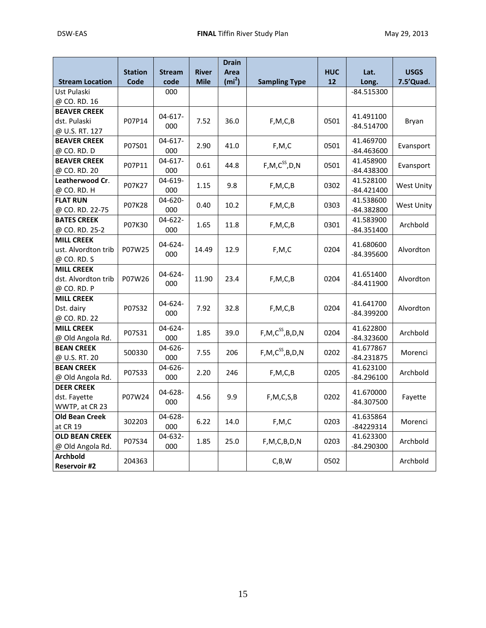|                        |                |                |              | <b>Drain</b>      |                         |            |              |             |  |  |  |  |  |            |
|------------------------|----------------|----------------|--------------|-------------------|-------------------------|------------|--------------|-------------|--|--|--|--|--|------------|
|                        | <b>Station</b> | <b>Stream</b>  | <b>River</b> | Area              |                         | <b>HUC</b> | Lat.         | <b>USGS</b> |  |  |  |  |  |            |
| <b>Stream Location</b> | Code           | code           | <b>Mile</b>  | (m <sup>2</sup> ) | <b>Sampling Type</b>    | 12         | Long.        | 7.5'Quad.   |  |  |  |  |  |            |
| Ust Pulaski            |                | 000            |              |                   |                         |            | -84.515300   |             |  |  |  |  |  |            |
| @ CO. RD. 16           |                |                |              |                   |                         |            |              |             |  |  |  |  |  |            |
| <b>BEAVER CREEK</b>    |                | $04 - 617 -$   |              |                   |                         |            | 41.491100    |             |  |  |  |  |  |            |
| dst. Pulaski           | P07P14         | 000            | 7.52         | 36.0              | F, M, C, B              | 0501       | $-84.514700$ | Bryan       |  |  |  |  |  |            |
| @ U.S. RT. 127         |                |                |              |                   |                         |            |              |             |  |  |  |  |  |            |
| <b>BEAVER CREEK</b>    | P07S01         | $04 - 617 -$   |              | 41.0              | F, M, C                 |            | 41.469700    |             |  |  |  |  |  |            |
| @ CO. RD. D            |                | 000            | 2.90         |                   |                         | 0501       | $-84.463600$ | Evansport   |  |  |  |  |  |            |
| <b>BEAVER CREEK</b>    |                | 04-617-        |              |                   | $F, M, C^{SS}, D, N$    |            | 41.458900    |             |  |  |  |  |  |            |
| @ CO. RD. 20           | P07P11         | 000            | 0.61         | 44.8              |                         | 0501       | -84.438300   | Evansport   |  |  |  |  |  |            |
| Leatherwood Cr.        | P07K27         | 04-619-        | 1.15         | 9.8               |                         | 0302       | 41.528100    |             |  |  |  |  |  |            |
| @ CO. RD. H            |                | 000            |              |                   | F, M, C, B              |            | $-84.421400$ | West Unity  |  |  |  |  |  |            |
| <b>FLAT RUN</b>        |                | $04 - 620 -$   |              |                   |                         |            | 41.538600    |             |  |  |  |  |  |            |
| @ CO. RD. 22-75        | P07K28         | 000            | 0.40         | 10.2              | F, M, C, B              | 0303       | $-84.382800$ | West Unity  |  |  |  |  |  |            |
| <b>BATES CREEK</b>     | P07K30         | 04-622-        | 1.65         | 11.8              | F, M, C, B              | 0301       | 41.583900    | Archbold    |  |  |  |  |  |            |
| @ CO. RD. 25-2         |                | 000            |              |                   |                         |            | $-84.351400$ |             |  |  |  |  |  |            |
| <b>MILL CREEK</b>      |                | 04-624-        |              |                   |                         |            | 41.680600    |             |  |  |  |  |  |            |
| ust. Alvordton trib    | P07W25         | 000            | 14.49        | 12.9              | F, M, C                 | 0204       | -84.395600   | Alvordton   |  |  |  |  |  |            |
| @ CO. RD. S            |                |                |              |                   |                         |            |              |             |  |  |  |  |  |            |
| <b>MILL CREEK</b>      |                | 04-624-        |              |                   |                         |            | 41.651400    |             |  |  |  |  |  |            |
| dst. Alvordton trib    | P07W26         | 000            | 11.90        | 23.4              | F, M, C, B              | 0204       | $-84.411900$ | Alvordton   |  |  |  |  |  |            |
| @ CO. RD. P            |                |                |              |                   |                         |            |              |             |  |  |  |  |  |            |
| <b>MILL CREEK</b>      |                |                |              |                   |                         |            | 41.641700    |             |  |  |  |  |  |            |
| Dst. dairy             | P07S32         | 04-624-<br>000 | 7.92         | 32.8              | F, M, C, B              | 0204       | -84.399200   | Alvordton   |  |  |  |  |  |            |
| @ CO. RD. 22           |                |                |              |                   |                         |            |              |             |  |  |  |  |  |            |
| <b>MILL CREEK</b>      | P07S31         | 04-624-        | 1.85         | 39.0              | $F, M, C^{SS}, B, D, N$ | 0204       | 41.622800    | Archbold    |  |  |  |  |  |            |
| @ Old Angola Rd.       |                | 000            |              |                   |                         |            | -84.323600   |             |  |  |  |  |  |            |
| <b>BEAN CREEK</b>      | 500330         | $04 - 626 -$   | 7.55         | 206               | $F, M, C^{SS}, B, D, N$ | 0202       | 41.677867    | Morenci     |  |  |  |  |  |            |
| @ U.S. RT. 20          |                | 000            |              |                   |                         |            | $-84.231875$ |             |  |  |  |  |  |            |
| <b>BEAN CREEK</b>      | P07S33         | 04-626-        | 2.20         | 246               | F, M, C, B              | 0205       | 41.623100    | Archbold    |  |  |  |  |  |            |
| @ Old Angola Rd.       |                | 000            |              |                   |                         |            | $-84.296100$ |             |  |  |  |  |  |            |
| <b>DEER CREEK</b>      |                | 04-628-        |              |                   |                         |            | 41.670000    |             |  |  |  |  |  |            |
| dst. Fayette           | P07W24         | 000            | 4.56         | 9.9               | F, M, C, S, B           | 0202       | -84.307500   | Fayette     |  |  |  |  |  |            |
| WWTP, at CR 23         |                |                |              |                   |                         |            |              |             |  |  |  |  |  |            |
| <b>Old Bean Creek</b>  | 302203         | 04-628-        | 6.22         |                   | F, M, C                 |            | 41.635864    | Morenci     |  |  |  |  |  |            |
| at CR 19               |                | 000            |              | 14.0              |                         | 0203       | -84229314    |             |  |  |  |  |  |            |
| <b>OLD BEAN CREEK</b>  | P07S34         | 04-632-        | 1.85         | 25.0              | F, M, C, B, D, N        | 0203       | 41.623300    | Archbold    |  |  |  |  |  |            |
| @ Old Angola Rd.       |                | 000            |              |                   |                         |            |              |             |  |  |  |  |  | -84.290300 |
| <b>Archbold</b>        | 204363         |                |              |                   | C, B, W                 | 0502       |              | Archbold    |  |  |  |  |  |            |
| <b>Reservoir #2</b>    |                |                |              |                   |                         |            |              |             |  |  |  |  |  |            |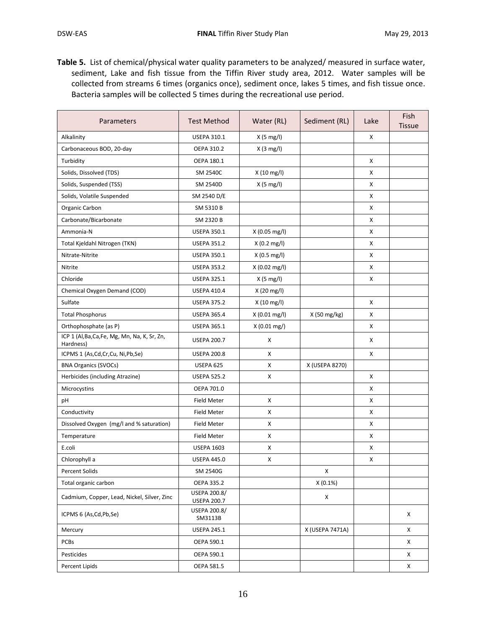**Table 5.** List of chemical/physical water quality parameters to be analyzed/ measured in surface water, sediment, Lake and fish tissue from the Tiffin River study area, 2012. Water samples will be collected from streams 6 times (organics once), sediment once, lakes 5 times, and fish tissue once. Bacteria samples will be collected 5 times during the recreational use period.

| Parameters                                                 | <b>Test Method</b>                 | Water (RL)             | Sediment (RL)   | Lake | Fish<br><b>Tissue</b> |
|------------------------------------------------------------|------------------------------------|------------------------|-----------------|------|-----------------------|
| Alkalinity                                                 | <b>USEPA 310.1</b>                 | $X(5 \text{ mg/l})$    |                 | X    |                       |
| Carbonaceous BOD, 20-day                                   | OEPA 310.2                         | $X(3 \text{ mg/l})$    |                 |      |                       |
| Turbidity                                                  | OEPA 180.1                         |                        |                 | X    |                       |
| Solids, Dissolved (TDS)                                    | SM 2540C                           | X (10 mg/l)            |                 | X    |                       |
| Solids, Suspended (TSS)                                    | SM 2540D                           | $X(5 \text{ mg/l})$    |                 | X    |                       |
| Solids, Volatile Suspended                                 | SM 2540 D/E                        |                        |                 | X    |                       |
| Organic Carbon                                             | SM 5310 B                          |                        |                 | X    |                       |
| Carbonate/Bicarbonate                                      | SM 2320 B                          |                        |                 | X    |                       |
| Ammonia-N                                                  | <b>USEPA 350.1</b>                 | X (0.05 mg/l)          |                 | X    |                       |
| Total Kjeldahl Nitrogen (TKN)                              | <b>USEPA 351.2</b>                 | $X(0.2 \text{ mg/l})$  |                 | X    |                       |
| Nitrate-Nitrite                                            | <b>USEPA 350.1</b>                 | X(0.5 mg/l)            |                 | X    |                       |
| Nitrite                                                    | <b>USEPA 353.2</b>                 | X (0.02 mg/l)          |                 | X    |                       |
| Chloride                                                   | <b>USEPA 325.1</b>                 | $X(5 \text{ mg/l})$    |                 | X    |                       |
| Chemical Oxygen Demand (COD)                               | <b>USEPA 410.4</b>                 | X (20 mg/l)            |                 |      |                       |
| Sulfate                                                    | <b>USEPA 375.2</b>                 | X (10 mg/l)            |                 | X    |                       |
| <b>Total Phosphorus</b>                                    | <b>USEPA 365.4</b>                 | $X(0.01 \text{ mg/l})$ | X (50 mg/kg)    | X    |                       |
| Orthophosphate (as P)                                      | <b>USEPA 365.1</b>                 | $X(0.01 \text{ mg})$   |                 | X    |                       |
| ICP 1 (Al, Ba, Ca, Fe, Mg, Mn, Na, K, Sr, Zn,<br>Hardness) | <b>USEPA 200.7</b>                 | х                      |                 | X    |                       |
| ICPMS 1 (As,Cd,Cr,Cu, Ni,Pb,Se)                            | <b>USEPA 200.8</b>                 | x                      |                 | X    |                       |
| <b>BNA Organics (SVOCs)</b>                                | USEPA 625                          | x                      | X (USEPA 8270)  |      |                       |
| Herbicides (including Atrazine)                            | <b>USEPA 525.2</b>                 | x                      |                 | X    |                       |
| Microcystins                                               | OEPA 701.0                         |                        |                 | X    |                       |
| pH                                                         | Field Meter                        | x                      |                 | X    |                       |
| Conductivity                                               | Field Meter                        | x                      |                 | Χ    |                       |
| Dissolved Oxygen (mg/l and % saturation)                   | <b>Field Meter</b>                 | X                      |                 | Χ    |                       |
| Temperature                                                | Field Meter                        | x                      |                 | X    |                       |
| E.coli                                                     | <b>USEPA 1603</b>                  | x                      |                 | х    |                       |
| Chlorophyll a                                              | <b>USEPA 445.0</b>                 | X                      |                 | X    |                       |
| Percent Solids                                             | SM 2540G                           |                        | X               |      |                       |
| Total organic carbon                                       | OEPA 335.2                         |                        | X(0.1%)         |      |                       |
| Cadmium, Copper, Lead, Nickel, Silver, Zinc                | USEPA 200.8/<br><b>USEPA 200.7</b> |                        | X               |      |                       |
| ICPMS 6 (As,Cd,Pb,Se)                                      | USEPA 200.8/<br>SM3113B            |                        |                 |      | Χ                     |
| Mercury                                                    | <b>USEPA 245.1</b>                 |                        | X (USEPA 7471A) |      | Χ                     |
| <b>PCBs</b>                                                | OEPA 590.1                         |                        |                 |      | X                     |
| Pesticides                                                 | OEPA 590.1                         |                        |                 |      | X                     |
| Percent Lipids                                             | OEPA 581.5                         |                        |                 |      | X                     |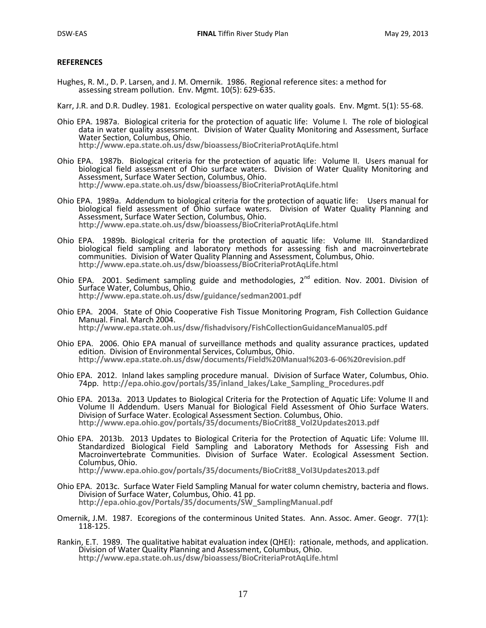#### **REFERENCES**

Hughes, R. M., D. P. Larsen, and J. M. Omernik. 1986. Regional reference sites: a method for assessing stream pollution. Env. Mgmt. 10(5): 629-635.

Karr, J.R. and D.R. Dudley. 1981. Ecological perspective on water quality goals. Env. Mgmt. 5(1): 55-68.

- Ohio EPA. 1987a. Biological criteria for the protection of aquatic life: Volume I. The role of biological data in water quality assessment. Division of Water Quality Monitoring and Assessment, Surface Water Section, Columbus, Ohio. **<http://www.epa.state.oh.us/dsw/bioassess/BioCriteriaProtAqLife.html>**
- Ohio EPA. 1987b. Biological criteria for the protection of aquatic life: Volume II. Users manual for biological field assessment of Ohio surface waters. Division of Water Quality Monitoring and Assessment, Surface Water Section, Columbus, Ohio. **<http://www.epa.state.oh.us/dsw/bioassess/BioCriteriaProtAqLife.html>**
- Ohio EPA. 1989a. Addendum to biological criteria for the protection of aquatic life: Users manual for biological field assessment of Ohio surface waters. Division of Water Quality Planning and Assessment, Surface Water Section, Columbus, Ohio. **<http://www.epa.state.oh.us/dsw/bioassess/BioCriteriaProtAqLife.html>**
- Ohio EPA. 1989b. Biological criteria for the protection of aquatic life: Volume III. Standardized biological field sampling and laboratory methods for assessing fish and macroinvertebrate communities. Division of Water Quality Planning and Assessment, Columbus, Ohio. **<http://www.epa.state.oh.us/dsw/bioassess/BioCriteriaProtAqLife.html>**
- Ohio EPA. 2001. Sediment sampling guide and methodologies,  $2^{nd}$  edition. Nov. 2001. Division of Surface Water, Columbus, Ohio. **<http://www.epa.state.oh.us/dsw/guidance/sedman2001.pdf>**
- Ohio EPA. 2004. State of Ohio Cooperative Fish Tissue Monitoring Program, Fish Collection Guidance Manual. Final. March 2004. **<http://www.epa.state.oh.us/dsw/fishadvisory/FishCollectionGuidanceManual05.pdf>**
- Ohio EPA. 2006. Ohio EPA manual of surveillance methods and quality assurance practices, updated edition. Division of Environmental Services, Columbus, Ohio. **<http://www.epa.state.oh.us/dsw/documents/Field%20Manual%203-6-06%20revision.pdf>**
- Ohio EPA. 2012. Inland lakes sampling procedure manual. Division of Surface Water, Columbus, Ohio. 74pp. **[http://epa.ohio.gov/portals/35/inland\\_lakes/Lake\\_Sampling\\_Procedures.pdf](http://epa.ohio.gov/portals/35/inland_lakes/Lake_Sampling_Procedures.pdf)**
- Ohio EPA. 2013a. 2013 Updates to Biological Criteria for the Protection of Aquatic Life: Volume II and Volume II Addendum. Users Manual for Biological Field Assessment of Ohio Surface Waters. Division of Surface Water. Ecological Assessment Section. Columbus, Ohio. **[http://www.epa.ohio.gov/portals/35/documents/BioCrit88\\_Vol2Updates2013.pdf](http://www.epa.ohio.gov/portals/35/documents/BioCrit88_Vol2Updates2013.pdf)**
- Ohio EPA. 2013b. 2013 Updates to Biological Criteria for the Protection of Aquatic Life: Volume III. Standardized Biological Field Sampling and Laboratory Methods for Assessing Fish and Macroinvertebrate Communities. Division of Surface Water. Ecological Assessment Section. Columbus, Ohio. **[http://www.epa.ohio.gov/portals/35/documents/BioCrit88\\_Vol3Updates2013.pdf](http://www.epa.ohio.gov/portals/35/documents/BioCrit88_Vol3Updates2013.pdf)**
- Ohio EPA. 2013c. Surface Water Field Sampling Manual for water column chemistry, bacteria and flows. Division of Surface Water, Columbus, Ohio. 41 pp.

**[http://epa.ohio.gov/Portals/35/documents/SW\\_SamplingManual.pdf](http://epa.ohio.gov/Portals/35/documents/SW_SamplingManual.pdf)**

- Omernik, J.M. 1987. Ecoregions of the conterminous United States. Ann. Assoc. Amer. Geogr. 77(1): 118-125.
- Rankin, E.T. 1989. The qualitative habitat evaluation index (QHEI): rationale, methods, and application. Division of Water Quality Planning and Assessment, Columbus, Ohio. **<http://www.epa.state.oh.us/dsw/bioassess/BioCriteriaProtAqLife.html>**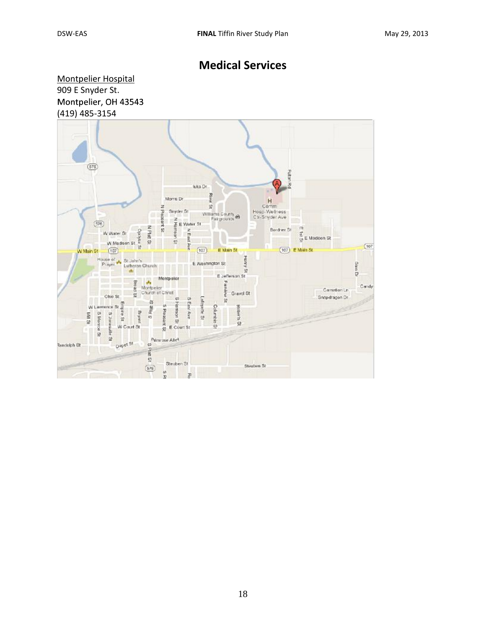# **Medical Services**

Montpelier Hospital [909 E Snyder St.](https://www.google.com/url?sa=D&oi=plus&q=https://maps.google.com/maps?ie%3DUTF8%26cid%3D18000516129061159603%26q%3DMontpelier%2BHospital%26iwloc%3DA%26gl%3DUS%26hl%3Den) Montpelier, OH 43543 (419) 485-3154

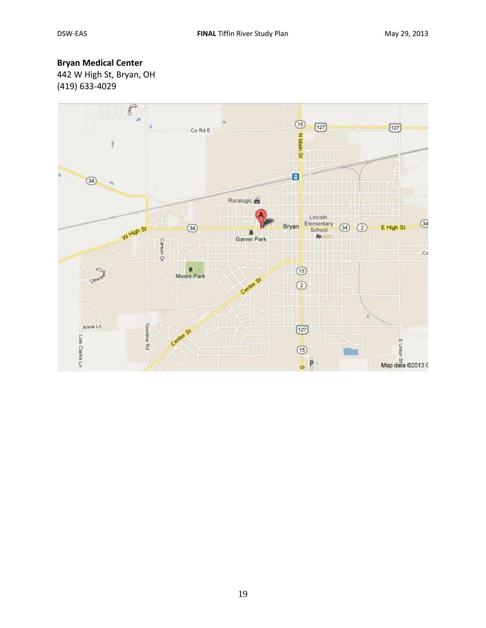# **Bryan Medical Center**

442 W High St, Bryan, OH (419) 633-4029

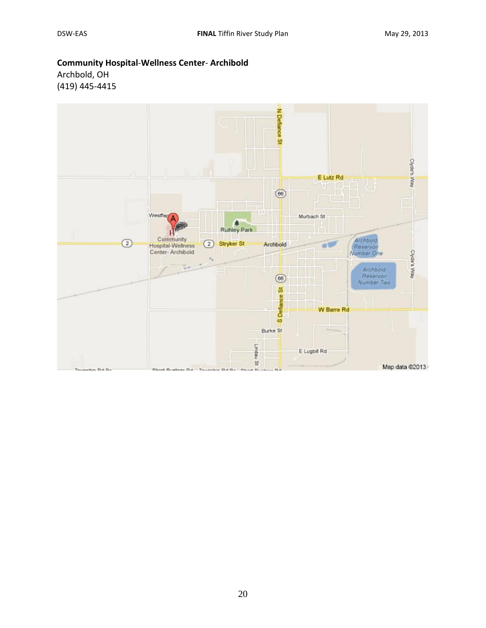### **Community Hospital**-**Wellness Center**- **Archibold**

Archbold, OH (419) 445-4415